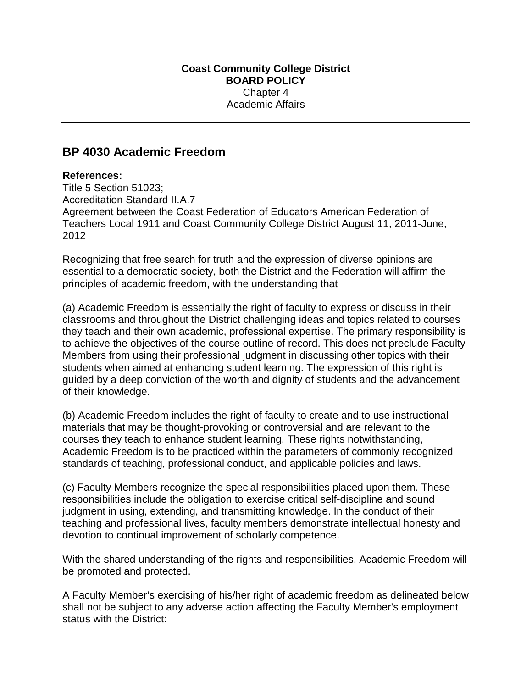## **BP 4030 Academic Freedom**

## **References:**

Title 5 Section 51023; Accreditation Standard II.A.7 Agreement between the Coast Federation of Educators American Federation of Teachers Local 1911 and Coast Community College District August 11, 2011-June, 2012

Recognizing that free search for truth and the expression of diverse opinions are essential to a democratic society, both the District and the Federation will affirm the principles of academic freedom, with the understanding that

(a) Academic Freedom is essentially the right of faculty to express or discuss in their classrooms and throughout the District challenging ideas and topics related to courses they teach and their own academic, professional expertise. The primary responsibility is to achieve the objectives of the course outline of record. This does not preclude Faculty Members from using their professional judgment in discussing other topics with their students when aimed at enhancing student learning. The expression of this right is guided by a deep conviction of the worth and dignity of students and the advancement of their knowledge.

(b) Academic Freedom includes the right of faculty to create and to use instructional materials that may be thought-provoking or controversial and are relevant to the courses they teach to enhance student learning. These rights notwithstanding, Academic Freedom is to be practiced within the parameters of commonly recognized standards of teaching, professional conduct, and applicable policies and laws.

(c) Faculty Members recognize the special responsibilities placed upon them. These responsibilities include the obligation to exercise critical self-discipline and sound judgment in using, extending, and transmitting knowledge. In the conduct of their teaching and professional lives, faculty members demonstrate intellectual honesty and devotion to continual improvement of scholarly competence.

With the shared understanding of the rights and responsibilities, Academic Freedom will be promoted and protected.

A Faculty Member's exercising of his/her right of academic freedom as delineated below shall not be subject to any adverse action affecting the Faculty Member's employment status with the District: